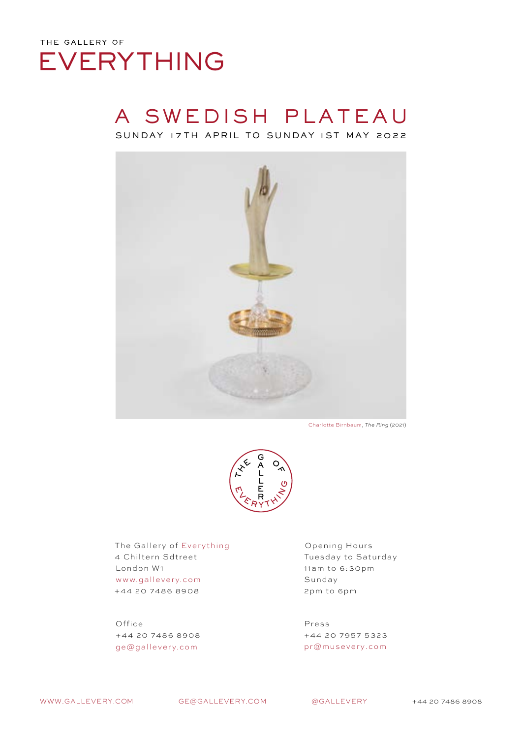#### A SWEDISH PLATEAU SUNDAY 17 TH APRIL TO SUNDAY 1ST MAY 2022



Charlotte Birnbaum, *The Ring* (2021)



The Gallery of Everything 4 Chiltern Sdtreet London W1 www.gallevery.com +44 20 7486 8908

Office +44 20 7486 8908 ge@gallevery.com

Opening Hours Tuesday to Saturday 11am to 6:30pm Sunday 2pm to 6pm

Press +44 20 7957 5323 pr@musevery.com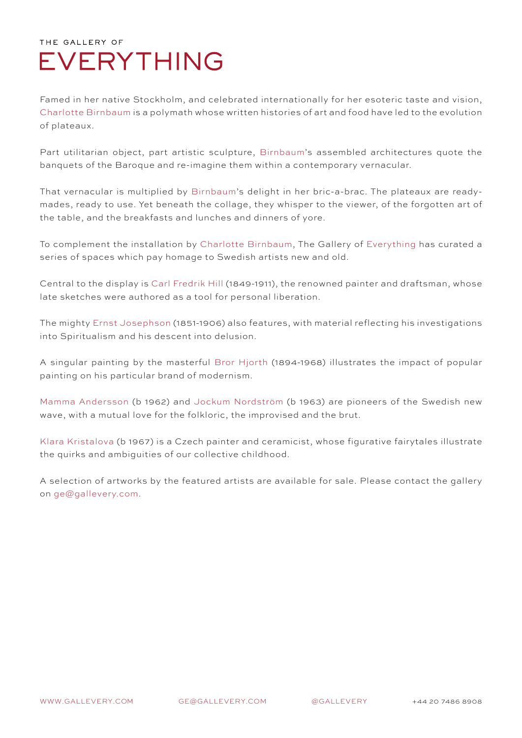Famed in her native Stockholm, and celebrated internationally for her esoteric taste and vision, Charlotte Birnbaum is a polymath whose written histories of art and food have led to the evolution of plateaux.

Part utilitarian object, part artistic sculpture, Birnbaum's assembled architectures quote the banquets of the Baroque and re-imagine them within a contemporary vernacular.

That vernacular is multiplied by Birnbaum's delight in her bric-a-brac. The plateaux are readymades, ready to use. Yet beneath the collage, they whisper to the viewer, of the forgotten art of the table, and the breakfasts and lunches and dinners of yore.

To complement the installation by Charlotte Birnbaum, The Gallery of Everything has curated a series of spaces which pay homage to Swedish artists new and old.

Central to the display is Carl Fredrik Hill (1849-1911), the renowned painter and draftsman, whose late sketches were authored as a tool for personal liberation.

The mighty Ernst Josephson (1851-1906) also features, with material reflecting his investigations into Spiritualism and his descent into delusion.

A singular painting by the masterful Bror Hjorth (1894-1968) illustrates the impact of popular painting on his particular brand of modernism.

Mamma Andersson (b 1962) and Jockum Nordström (b 1963) are pioneers of the Swedish new wave, with a mutual love for the folkloric, the improvised and the brut.

Klara Kristalova (b 1967) is a Czech painter and ceramicist, whose figurative fairytales illustrate the quirks and ambiguities of our collective childhood.

A selection of artworks by the featured artists are available for sale. Please contact the gallery on ge@gallevery.com.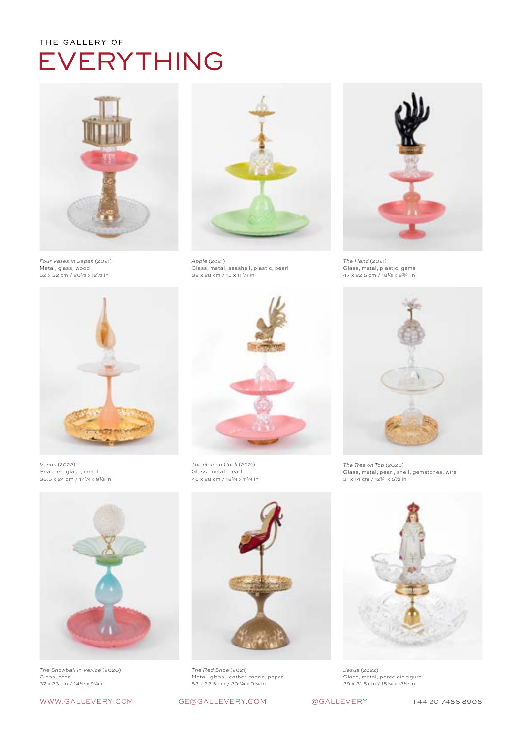

*Four Vases in Japan* (2021) Metal, glass, wood 52 x 32 cm / 20½ x 12½ in



*Apple* (2021) Glass, metal, seashell, plastic, pearl 38 x 28 cm / 15 x 11 ¼ in



*The Hand* (2021) Glass, metal, plastic, gems 47 x 22.5 cm / 18½ x 8¾ in



*Venus* (2022) Seashell, glass, metal 36.5 x 24 cm / 14¼ x 9½ in



*The Snowball in Venice* (2020) Glass, pearl 37 x 23 cm / 14½ x 9¼ in



*The Golden Cock* (2021) Glass, metal, pearl 46 x 28 cm / 18¼ x 11¼ in



*The Red Shoe* (2021) Metal, glass, leather, fabric, paper 53 x 23.5 cm / 20¾ x 9¼ in







*The Tree on Top* (2020) Glass, metal, pearl, shell, gemstones, wire 31 x 14 cm / 12¼ x 5½ in



*Jesus* (2022) Glass, metal, porcelain figure 39 x 31.5 cm / 15¼ x 12½ in